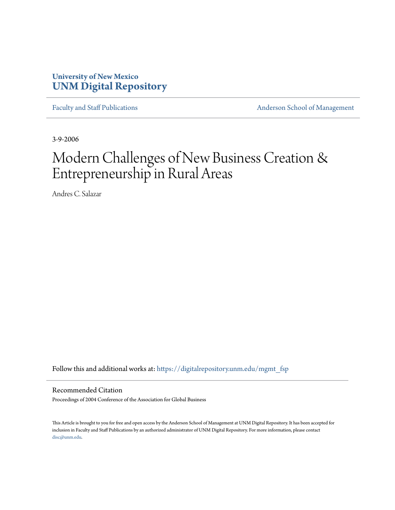## **University of New Mexico [UNM Digital Repository](https://digitalrepository.unm.edu?utm_source=digitalrepository.unm.edu%2Fmgmt_fsp%2F11&utm_medium=PDF&utm_campaign=PDFCoverPages)**

[Faculty and Staff Publications](https://digitalrepository.unm.edu/mgmt_fsp?utm_source=digitalrepository.unm.edu%2Fmgmt_fsp%2F11&utm_medium=PDF&utm_campaign=PDFCoverPages) **[Anderson School of Management](https://digitalrepository.unm.edu/mgmt?utm_source=digitalrepository.unm.edu%2Fmgmt_fsp%2F11&utm_medium=PDF&utm_campaign=PDFCoverPages)** 

3-9-2006

# Modern Challenges of New Business Creation & Entrepreneurship in Rural Areas

Andres C. Salazar

Follow this and additional works at: [https://digitalrepository.unm.edu/mgmt\\_fsp](https://digitalrepository.unm.edu/mgmt_fsp?utm_source=digitalrepository.unm.edu%2Fmgmt_fsp%2F11&utm_medium=PDF&utm_campaign=PDFCoverPages)

Recommended Citation

Proceedings of 2004 Conference of the Association for Global Business

This Article is brought to you for free and open access by the Anderson School of Management at UNM Digital Repository. It has been accepted for inclusion in Faculty and Staff Publications by an authorized administrator of UNM Digital Repository. For more information, please contact [disc@unm.edu](mailto:disc@unm.edu).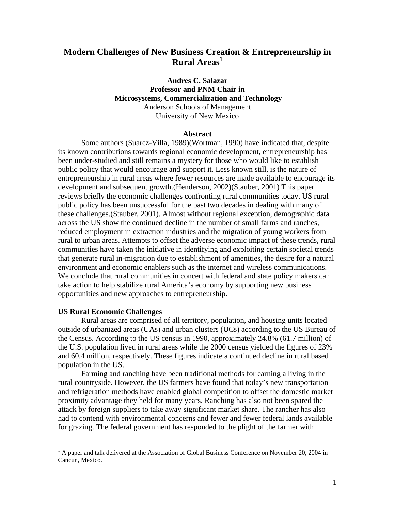## **Modern Challenges of New Business Creation & Entrepreneurship in Rural Areas<sup>1</sup>**

### **Andres C. Salazar Professor and PNM Chair in Microsystems, Commercialization and Technology**  Anderson Schools of Management University of New Mexico

#### **Abstract**

Some authors (Suarez-Villa, 1989)(Wortman, 1990) have indicated that, despite its known contributions towards regional economic development, entrepreneurship has been under-studied and still remains a mystery for those who would like to establish public policy that would encourage and support it. Less known still, is the nature of entrepreneurship in rural areas where fewer resources are made available to encourage its development and subsequent growth.(Henderson, 2002)(Stauber, 2001) This paper reviews briefly the economic challenges confronting rural communities today. US rural public policy has been unsuccessful for the past two decades in dealing with many of these challenges.(Stauber, 2001). Almost without regional exception, demographic data across the US show the continued decline in the number of small farms and ranches, reduced employment in extraction industries and the migration of young workers from rural to urban areas. Attempts to offset the adverse economic impact of these trends, rural communities have taken the initiative in identifying and exploiting certain societal trends that generate rural in-migration due to establishment of amenities, the desire for a natural environment and economic enablers such as the internet and wireless communications. We conclude that rural communities in concert with federal and state policy makers can take action to help stabilize rural America's economy by supporting new business opportunities and new approaches to entrepreneurship.

#### **US Rural Economic Challenges**

 $\overline{a}$ 

Rural areas are comprised of all territory, population, and housing units located outside of urbanized areas (UAs) and urban clusters (UCs) according to the US Bureau of the Census. According to the US census in 1990, approximately 24.8% (61.7 million) of the U.S. population lived in rural areas while the 2000 census yielded the figures of 23% and 60.4 million, respectively. These figures indicate a continued decline in rural based population in the US.

Farming and ranching have been traditional methods for earning a living in the rural countryside. However, the US farmers have found that today's new transportation and refrigeration methods have enabled global competition to offset the domestic market proximity advantage they held for many years. Ranching has also not been spared the attack by foreign suppliers to take away significant market share. The rancher has also had to contend with environmental concerns and fewer and fewer federal lands available for grazing. The federal government has responded to the plight of the farmer with

<sup>&</sup>lt;sup>1</sup> A paper and talk delivered at the Association of Global Business Conference on November 20, 2004 in Cancun, Mexico.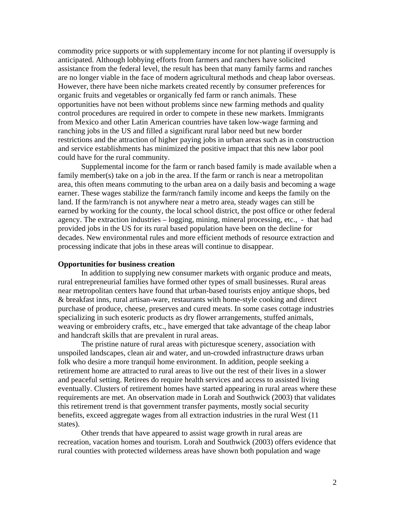commodity price supports or with supplementary income for not planting if oversupply is anticipated. Although lobbying efforts from farmers and ranchers have solicited assistance from the federal level, the result has been that many family farms and ranches are no longer viable in the face of modern agricultural methods and cheap labor overseas. However, there have been niche markets created recently by consumer preferences for organic fruits and vegetables or organically fed farm or ranch animals. These opportunities have not been without problems since new farming methods and quality control procedures are required in order to compete in these new markets. Immigrants from Mexico and other Latin American countries have taken low-wage farming and ranching jobs in the US and filled a significant rural labor need but new border restrictions and the attraction of higher paying jobs in urban areas such as in construction and service establishments has minimized the positive impact that this new labor pool could have for the rural community.

Supplemental income for the farm or ranch based family is made available when a family member(s) take on a job in the area. If the farm or ranch is near a metropolitan area, this often means commuting to the urban area on a daily basis and becoming a wage earner. These wages stabilize the farm/ranch family income and keeps the family on the land. If the farm/ranch is not anywhere near a metro area, steady wages can still be earned by working for the county, the local school district, the post office or other federal agency. The extraction industries – logging, mining, mineral processing, etc., - that had provided jobs in the US for its rural based population have been on the decline for decades. New environmental rules and more efficient methods of resource extraction and processing indicate that jobs in these areas will continue to disappear.

#### **Opportunities for business creation**

 In addition to supplying new consumer markets with organic produce and meats, rural entrepreneurial families have formed other types of small businesses. Rural areas near metropolitan centers have found that urban-based tourists enjoy antique shops, bed & breakfast inns, rural artisan-ware, restaurants with home-style cooking and direct purchase of produce, cheese, preserves and cured meats. In some cases cottage industries specializing in such esoteric products as dry flower arrangements, stuffed animals, weaving or embroidery crafts, etc., have emerged that take advantage of the cheap labor and handcraft skills that are prevalent in rural areas.

The pristine nature of rural areas with picturesque scenery, association with unspoiled landscapes, clean air and water, and un-crowded infrastructure draws urban folk who desire a more tranquil home environment. In addition, people seeking a retirement home are attracted to rural areas to live out the rest of their lives in a slower and peaceful setting. Retirees do require health services and access to assisted living eventually. Clusters of retirement homes have started appearing in rural areas where these requirements are met. An observation made in Lorah and Southwick (2003) that validates this retirement trend is that government transfer payments, mostly social security benefits, exceed aggregate wages from all extraction industries in the rural West (11 states).

Other trends that have appeared to assist wage growth in rural areas are recreation, vacation homes and tourism. Lorah and Southwick (2003) offers evidence that rural counties with protected wilderness areas have shown both population and wage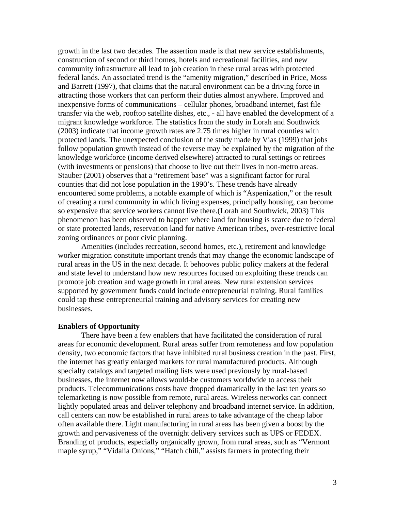growth in the last two decades. The assertion made is that new service establishments, construction of second or third homes, hotels and recreational facilities, and new community infrastructure all lead to job creation in these rural areas with protected federal lands. An associated trend is the "amenity migration," described in Price, Moss and Barrett (1997), that claims that the natural environment can be a driving force in attracting those workers that can perform their duties almost anywhere. Improved and inexpensive forms of communications – cellular phones, broadband internet, fast file transfer via the web, rooftop satellite dishes, etc., - all have enabled the development of a migrant knowledge workforce. The statistics from the study in Lorah and Southwick (2003) indicate that income growth rates are 2.75 times higher in rural counties with protected lands. The unexpected conclusion of the study made by Vias (1999) that jobs follow population growth instead of the reverse may be explained by the migration of the knowledge workforce (income derived elsewhere) attracted to rural settings or retirees (with investments or pensions) that choose to live out their lives in non-metro areas. Stauber (2001) observes that a "retirement base" was a significant factor for rural counties that did not lose population in the 1990's. These trends have already encountered some problems, a notable example of which is "Aspenization," or the result of creating a rural community in which living expenses, principally housing, can become so expensive that service workers cannot live there.(Lorah and Southwick, 2003) This phenomenon has been observed to happen where land for housing is scarce due to federal or state protected lands, reservation land for native American tribes, over-restrictive local zoning ordinances or poor civic planning.

Amenities (includes recreation, second homes, etc.), retirement and knowledge worker migration constitute important trends that may change the economic landscape of rural areas in the US in the next decade. It behooves public policy makers at the federal and state level to understand how new resources focused on exploiting these trends can promote job creation and wage growth in rural areas. New rural extension services supported by government funds could include entrepreneurial training. Rural families could tap these entrepreneurial training and advisory services for creating new businesses.

#### **Enablers of Opportunity**

There have been a few enablers that have facilitated the consideration of rural areas for economic development. Rural areas suffer from remoteness and low population density, two economic factors that have inhibited rural business creation in the past. First, the internet has greatly enlarged markets for rural manufactured products. Although specialty catalogs and targeted mailing lists were used previously by rural-based businesses, the internet now allows would-be customers worldwide to access their products. Telecommunications costs have dropped dramatically in the last ten years so telemarketing is now possible from remote, rural areas. Wireless networks can connect lightly populated areas and deliver telephony and broadband internet service. In addition, call centers can now be established in rural areas to take advantage of the cheap labor often available there. Light manufacturing in rural areas has been given a boost by the growth and pervasiveness of the overnight delivery services such as UPS or FEDEX. Branding of products, especially organically grown, from rural areas, such as "Vermont maple syrup," "Vidalia Onions," "Hatch chili," assists farmers in protecting their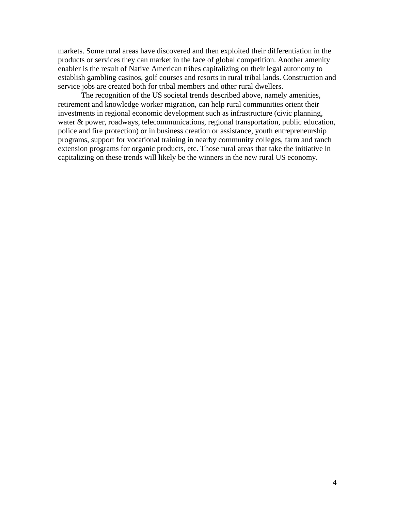markets. Some rural areas have discovered and then exploited their differentiation in the products or services they can market in the face of global competition. Another amenity enabler is the result of Native American tribes capitalizing on their legal autonomy to establish gambling casinos, golf courses and resorts in rural tribal lands. Construction and service jobs are created both for tribal members and other rural dwellers.

The recognition of the US societal trends described above, namely amenities, retirement and knowledge worker migration, can help rural communities orient their investments in regional economic development such as infrastructure (civic planning, water & power, roadways, telecommunications, regional transportation, public education, police and fire protection) or in business creation or assistance, youth entrepreneurship programs, support for vocational training in nearby community colleges, farm and ranch extension programs for organic products, etc. Those rural areas that take the initiative in capitalizing on these trends will likely be the winners in the new rural US economy.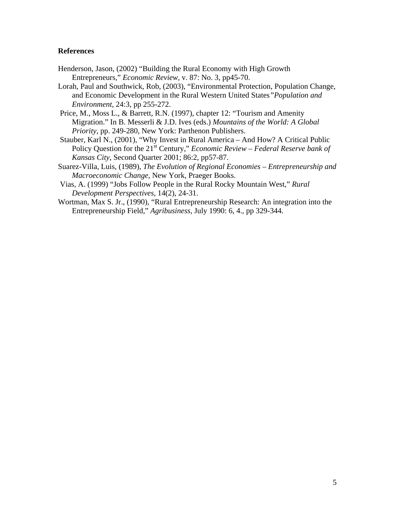#### **References**

- Henderson, Jason, (2002) "Building the Rural Economy with High Growth Entrepreneurs," *Economic Review*, v. 87: No. 3, pp45-70.
- Lorah, Paul and Southwick, Rob, (2003), "Environmental Protection, Population Change, and Economic Development in the Rural Western United States*"Population and Environment,* 24:3, pp 255-272.
- Price, M., Moss L., & Barrett, R.N. (1997), chapter 12: "Tourism and Amenity Migration." In B. Messerli & J.D. Ives (eds.) *Mountains of the World: A Global Priority,* pp. 249-280, New York: Parthenon Publishers.
- Stauber, Karl N., (2001), "Why Invest in Rural America And How? A Critical Public Policy Question for the 21<sup>st</sup> Century," *Economic Review – Federal Reserve bank of Kansas City*, Second Quarter 2001; 86:2, pp57-87.
- Suarez-Villa, Luis, (1989), *The Evolution of Regional Economies Entrepreneurship and Macroeconomic Change*, New York, Praeger Books.
- Vias, A. (1999) "Jobs Follow People in the Rural Rocky Mountain West," *Rural Development Perspectives*, 14(2), 24-31.
- Wortman, Max S. Jr., (1990), "Rural Entrepreneurship Research: An integration into the Entrepreneurship Field," *Agribusiness*, July 1990: 6, 4., pp 329-344.